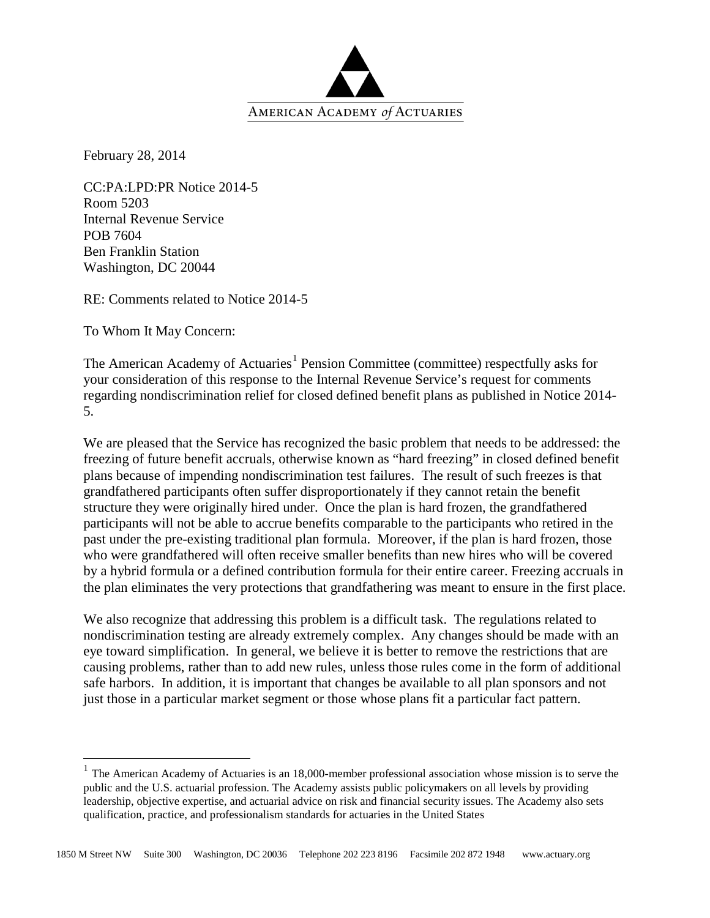

February 28, 2014

CC:PA:LPD:PR Notice 2014-5 Room 5203 Internal Revenue Service POB 7604 Ben Franklin Station Washington, DC 20044

RE: Comments related to Notice 2014-5

To Whom It May Concern:

The American Academy of Actuaries<sup>[1](#page-0-0)</sup> Pension Committee (committee) respectfully asks for your consideration of this response to the Internal Revenue Service's request for comments regarding nondiscrimination relief for closed defined benefit plans as published in Notice 2014- 5.

We are pleased that the Service has recognized the basic problem that needs to be addressed: the freezing of future benefit accruals, otherwise known as "hard freezing" in closed defined benefit plans because of impending nondiscrimination test failures. The result of such freezes is that grandfathered participants often suffer disproportionately if they cannot retain the benefit structure they were originally hired under. Once the plan is hard frozen, the grandfathered participants will not be able to accrue benefits comparable to the participants who retired in the past under the pre-existing traditional plan formula. Moreover, if the plan is hard frozen, those who were grandfathered will often receive smaller benefits than new hires who will be covered by a hybrid formula or a defined contribution formula for their entire career. Freezing accruals in the plan eliminates the very protections that grandfathering was meant to ensure in the first place.

We also recognize that addressing this problem is a difficult task. The regulations related to nondiscrimination testing are already extremely complex. Any changes should be made with an eye toward simplification. In general, we believe it is better to remove the restrictions that are causing problems, rather than to add new rules, unless those rules come in the form of additional safe harbors. In addition, it is important that changes be available to all plan sponsors and not just those in a particular market segment or those whose plans fit a particular fact pattern.

<span id="page-0-0"></span><sup>&</sup>lt;sup>1</sup> The American Academy of Actuaries is an 18,000-member professional association whose mission is to serve the public and the U.S. actuarial profession. The Academy assists public policymakers on all levels by providing leadership, objective expertise, and actuarial advice on risk and financial security issues. The Academy also sets qualification, practice, and professionalism standards for actuaries in the United States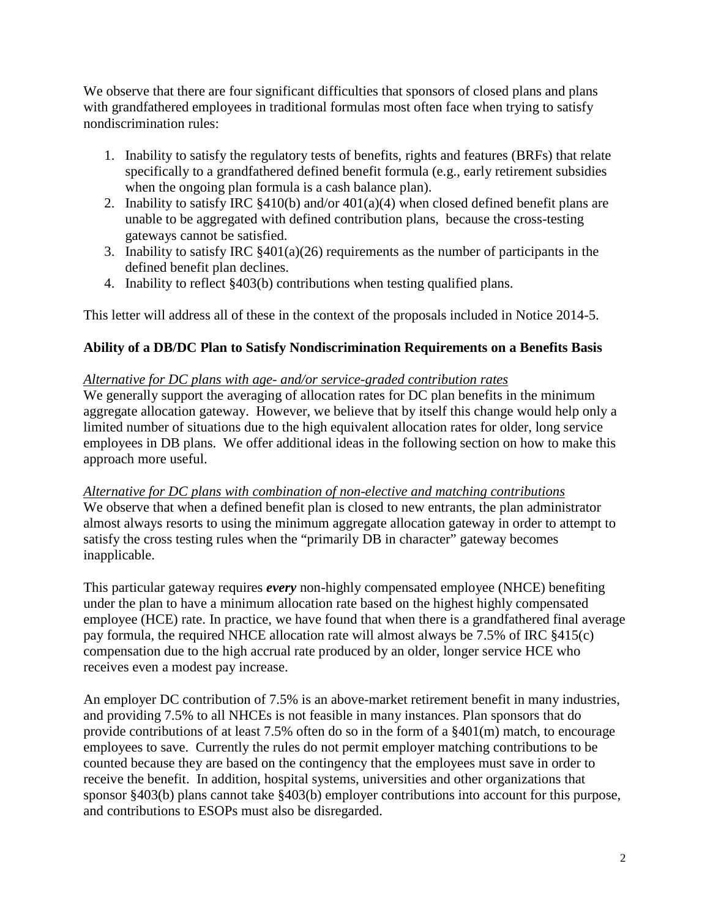We observe that there are four significant difficulties that sponsors of closed plans and plans with grandfathered employees in traditional formulas most often face when trying to satisfy nondiscrimination rules:

- 1. Inability to satisfy the regulatory tests of benefits, rights and features (BRFs) that relate specifically to a grandfathered defined benefit formula (e.g., early retirement subsidies when the ongoing plan formula is a cash balance plan).
- 2. Inability to satisfy IRC  $\frac{8410(b)}{b}$  and/or  $\frac{401(a)(4)}{b}$  when closed defined benefit plans are unable to be aggregated with defined contribution plans, because the cross-testing gateways cannot be satisfied.
- 3. Inability to satisfy IRC  $\S 401(a)(26)$  requirements as the number of participants in the defined benefit plan declines.
- 4. Inability to reflect §403(b) contributions when testing qualified plans.

This letter will address all of these in the context of the proposals included in Notice 2014-5.

# **Ability of a DB/DC Plan to Satisfy Nondiscrimination Requirements on a Benefits Basis**

## *Alternative for DC plans with age- and/or service-graded contribution rates*

We generally support the averaging of allocation rates for DC plan benefits in the minimum aggregate allocation gateway. However, we believe that by itself this change would help only a limited number of situations due to the high equivalent allocation rates for older, long service employees in DB plans. We offer additional ideas in the following section on how to make this approach more useful.

## *Alternative for DC plans with combination of non-elective and matching contributions*

We observe that when a defined benefit plan is closed to new entrants, the plan administrator almost always resorts to using the minimum aggregate allocation gateway in order to attempt to satisfy the cross testing rules when the "primarily DB in character" gateway becomes inapplicable.

This particular gateway requires *every* non-highly compensated employee (NHCE) benefiting under the plan to have a minimum allocation rate based on the highest highly compensated employee (HCE) rate. In practice, we have found that when there is a grandfathered final average pay formula, the required NHCE allocation rate will almost always be 7.5% of IRC §415(c) compensation due to the high accrual rate produced by an older, longer service HCE who receives even a modest pay increase.

An employer DC contribution of 7.5% is an above-market retirement benefit in many industries, and providing 7.5% to all NHCEs is not feasible in many instances. Plan sponsors that do provide contributions of at least 7.5% often do so in the form of a §401(m) match, to encourage employees to save. Currently the rules do not permit employer matching contributions to be counted because they are based on the contingency that the employees must save in order to receive the benefit. In addition, hospital systems, universities and other organizations that sponsor §403(b) plans cannot take §403(b) employer contributions into account for this purpose, and contributions to ESOPs must also be disregarded.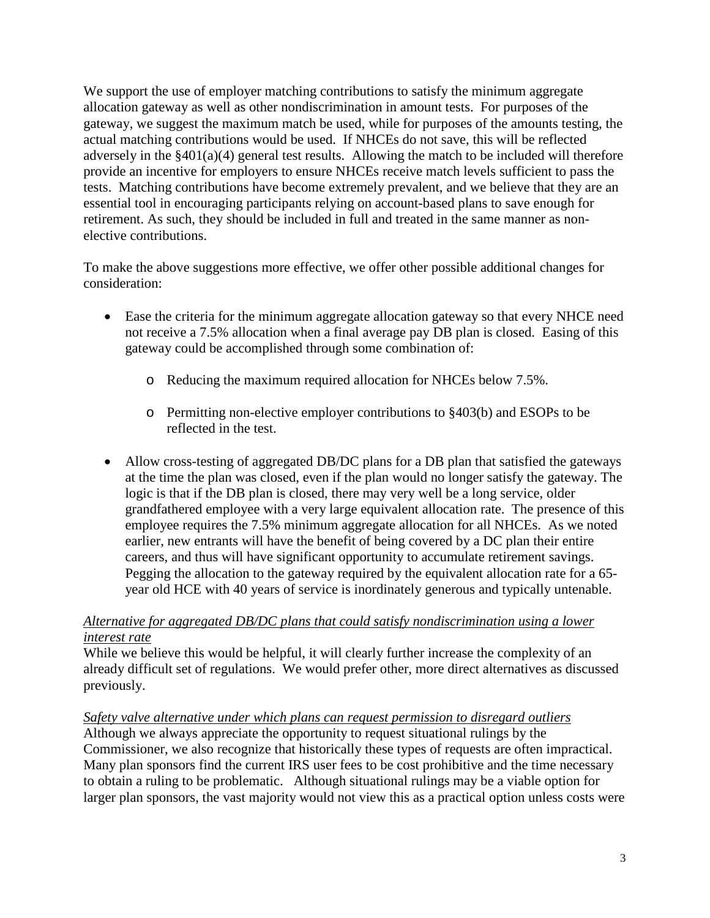We support the use of employer matching contributions to satisfy the minimum aggregate allocation gateway as well as other nondiscrimination in amount tests. For purposes of the gateway, we suggest the maximum match be used, while for purposes of the amounts testing, the actual matching contributions would be used. If NHCEs do not save, this will be reflected adversely in the §401(a)(4) general test results. Allowing the match to be included will therefore provide an incentive for employers to ensure NHCEs receive match levels sufficient to pass the tests. Matching contributions have become extremely prevalent, and we believe that they are an essential tool in encouraging participants relying on account-based plans to save enough for retirement. As such, they should be included in full and treated in the same manner as nonelective contributions.

To make the above suggestions more effective, we offer other possible additional changes for consideration:

- Ease the criteria for the minimum aggregate allocation gateway so that every NHCE need not receive a 7.5% allocation when a final average pay DB plan is closed. Easing of this gateway could be accomplished through some combination of:
	- o Reducing the maximum required allocation for NHCEs below 7.5%.
	- o Permitting non-elective employer contributions to §403(b) and ESOPs to be reflected in the test.
- Allow cross-testing of aggregated DB/DC plans for a DB plan that satisfied the gateways at the time the plan was closed, even if the plan would no longer satisfy the gateway. The logic is that if the DB plan is closed, there may very well be a long service, older grandfathered employee with a very large equivalent allocation rate. The presence of this employee requires the 7.5% minimum aggregate allocation for all NHCEs. As we noted earlier, new entrants will have the benefit of being covered by a DC plan their entire careers, and thus will have significant opportunity to accumulate retirement savings. Pegging the allocation to the gateway required by the equivalent allocation rate for a 65 year old HCE with 40 years of service is inordinately generous and typically untenable.

## *Alternative for aggregated DB/DC plans that could satisfy nondiscrimination using a lower interest rate*

While we believe this would be helpful, it will clearly further increase the complexity of an already difficult set of regulations. We would prefer other, more direct alternatives as discussed previously.

## *Safety valve alternative under which plans can request permission to disregard outliers*

Although we always appreciate the opportunity to request situational rulings by the Commissioner, we also recognize that historically these types of requests are often impractical. Many plan sponsors find the current IRS user fees to be cost prohibitive and the time necessary to obtain a ruling to be problematic. Although situational rulings may be a viable option for larger plan sponsors, the vast majority would not view this as a practical option unless costs were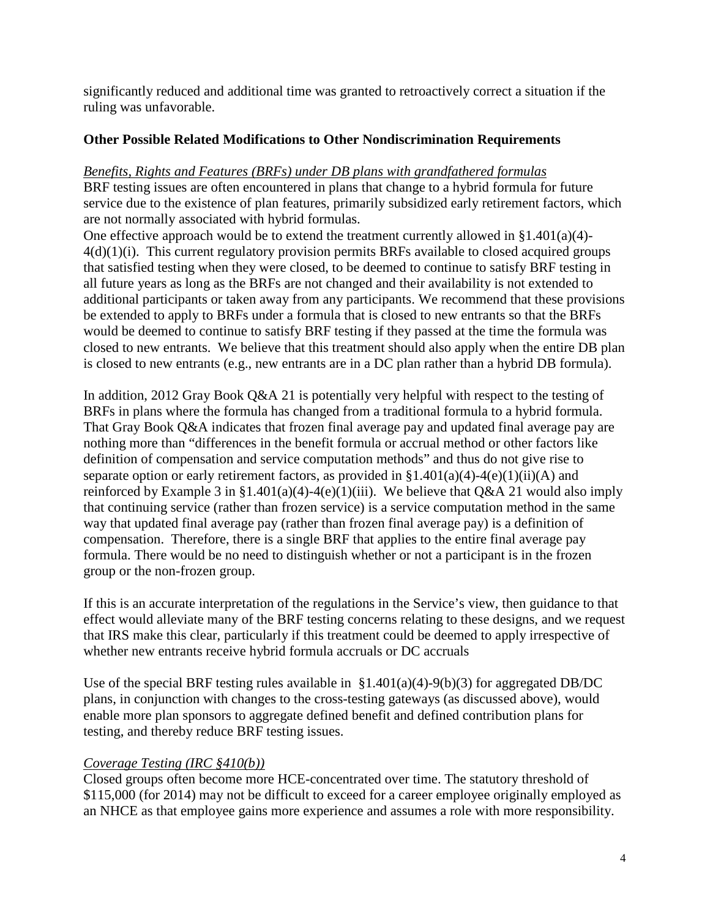significantly reduced and additional time was granted to retroactively correct a situation if the ruling was unfavorable.

## **Other Possible Related Modifications to Other Nondiscrimination Requirements**

### *Benefits, Rights and Features (BRFs) under DB plans with grandfathered formulas*

BRF testing issues are often encountered in plans that change to a hybrid formula for future service due to the existence of plan features, primarily subsidized early retirement factors, which are not normally associated with hybrid formulas.

One effective approach would be to extend the treatment currently allowed in  $\S 1.401(a)(4)$ - $4(d)(1)(i)$ . This current regulatory provision permits BRFs available to closed acquired groups that satisfied testing when they were closed, to be deemed to continue to satisfy BRF testing in all future years as long as the BRFs are not changed and their availability is not extended to additional participants or taken away from any participants. We recommend that these provisions be extended to apply to BRFs under a formula that is closed to new entrants so that the BRFs would be deemed to continue to satisfy BRF testing if they passed at the time the formula was closed to new entrants. We believe that this treatment should also apply when the entire DB plan is closed to new entrants (e.g., new entrants are in a DC plan rather than a hybrid DB formula).

In addition, 2012 Gray Book Q&A 21 is potentially very helpful with respect to the testing of BRFs in plans where the formula has changed from a traditional formula to a hybrid formula. That Gray Book Q&A indicates that frozen final average pay and updated final average pay are nothing more than "differences in the benefit formula or accrual method or other factors like definition of compensation and service computation methods" and thus do not give rise to separate option or early retirement factors, as provided in  $$1.401(a)(4)-4(e)(1)(ii)(A)$  and reinforced by Example 3 in §1.401(a)(4)-4(e)(1)(iii). We believe that Q&A 21 would also imply that continuing service (rather than frozen service) is a service computation method in the same way that updated final average pay (rather than frozen final average pay) is a definition of compensation. Therefore, there is a single BRF that applies to the entire final average pay formula. There would be no need to distinguish whether or not a participant is in the frozen group or the non-frozen group.

If this is an accurate interpretation of the regulations in the Service's view, then guidance to that effect would alleviate many of the BRF testing concerns relating to these designs, and we request that IRS make this clear, particularly if this treatment could be deemed to apply irrespective of whether new entrants receive hybrid formula accruals or DC accruals

Use of the special BRF testing rules available in  $$1.401(a)(4)-9(b)(3)$  for aggregated DB/DC plans, in conjunction with changes to the cross-testing gateways (as discussed above), would enable more plan sponsors to aggregate defined benefit and defined contribution plans for testing, and thereby reduce BRF testing issues.

## *Coverage Testing (IRC §410(b))*

Closed groups often become more HCE-concentrated over time. The statutory threshold of \$115,000 (for 2014) may not be difficult to exceed for a career employee originally employed as an NHCE as that employee gains more experience and assumes a role with more responsibility.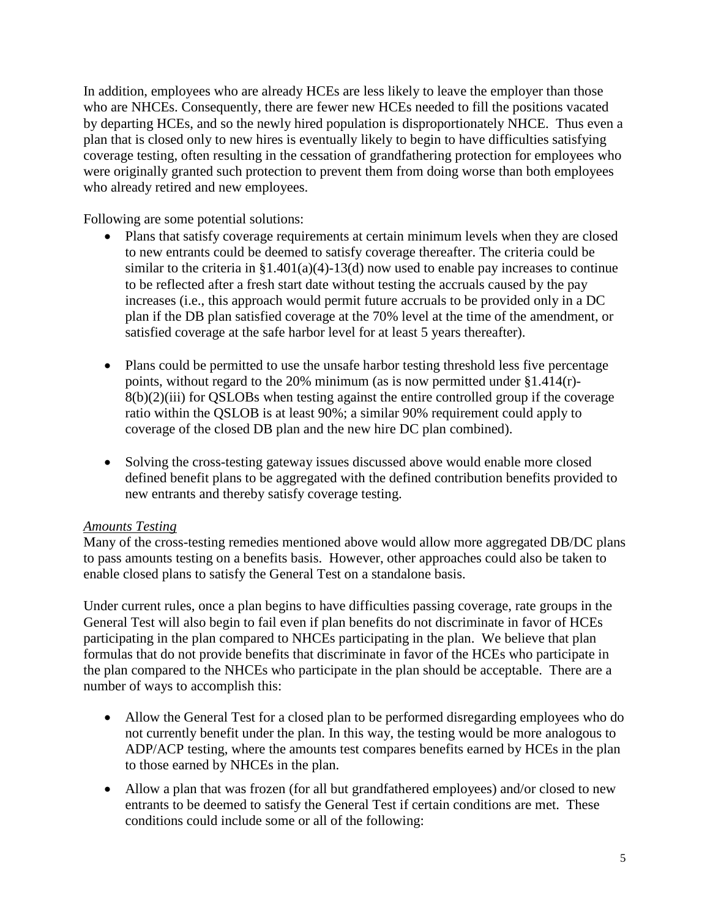In addition, employees who are already HCEs are less likely to leave the employer than those who are NHCEs. Consequently, there are fewer new HCEs needed to fill the positions vacated by departing HCEs, and so the newly hired population is disproportionately NHCE. Thus even a plan that is closed only to new hires is eventually likely to begin to have difficulties satisfying coverage testing, often resulting in the cessation of grandfathering protection for employees who were originally granted such protection to prevent them from doing worse than both employees who already retired and new employees.

Following are some potential solutions:

- Plans that satisfy coverage requirements at certain minimum levels when they are closed to new entrants could be deemed to satisfy coverage thereafter. The criteria could be similar to the criteria in  $\S1.401(a)(4)$ -13(d) now used to enable pay increases to continue to be reflected after a fresh start date without testing the accruals caused by the pay increases (i.e., this approach would permit future accruals to be provided only in a DC plan if the DB plan satisfied coverage at the 70% level at the time of the amendment, or satisfied coverage at the safe harbor level for at least 5 years thereafter).
- Plans could be permitted to use the unsafe harbor testing threshold less five percentage points, without regard to the 20% minimum (as is now permitted under §1.414(r)- 8(b)(2)(iii) for QSLOBs when testing against the entire controlled group if the coverage ratio within the QSLOB is at least 90%; a similar 90% requirement could apply to coverage of the closed DB plan and the new hire DC plan combined).
- Solving the cross-testing gateway issues discussed above would enable more closed defined benefit plans to be aggregated with the defined contribution benefits provided to new entrants and thereby satisfy coverage testing.

### *Amounts Testing*

Many of the cross-testing remedies mentioned above would allow more aggregated DB/DC plans to pass amounts testing on a benefits basis. However, other approaches could also be taken to enable closed plans to satisfy the General Test on a standalone basis.

Under current rules, once a plan begins to have difficulties passing coverage, rate groups in the General Test will also begin to fail even if plan benefits do not discriminate in favor of HCEs participating in the plan compared to NHCEs participating in the plan. We believe that plan formulas that do not provide benefits that discriminate in favor of the HCEs who participate in the plan compared to the NHCEs who participate in the plan should be acceptable. There are a number of ways to accomplish this:

- Allow the General Test for a closed plan to be performed disregarding employees who do not currently benefit under the plan. In this way, the testing would be more analogous to ADP/ACP testing, where the amounts test compares benefits earned by HCEs in the plan to those earned by NHCEs in the plan.
- Allow a plan that was frozen (for all but grandfathered employees) and/or closed to new entrants to be deemed to satisfy the General Test if certain conditions are met. These conditions could include some or all of the following: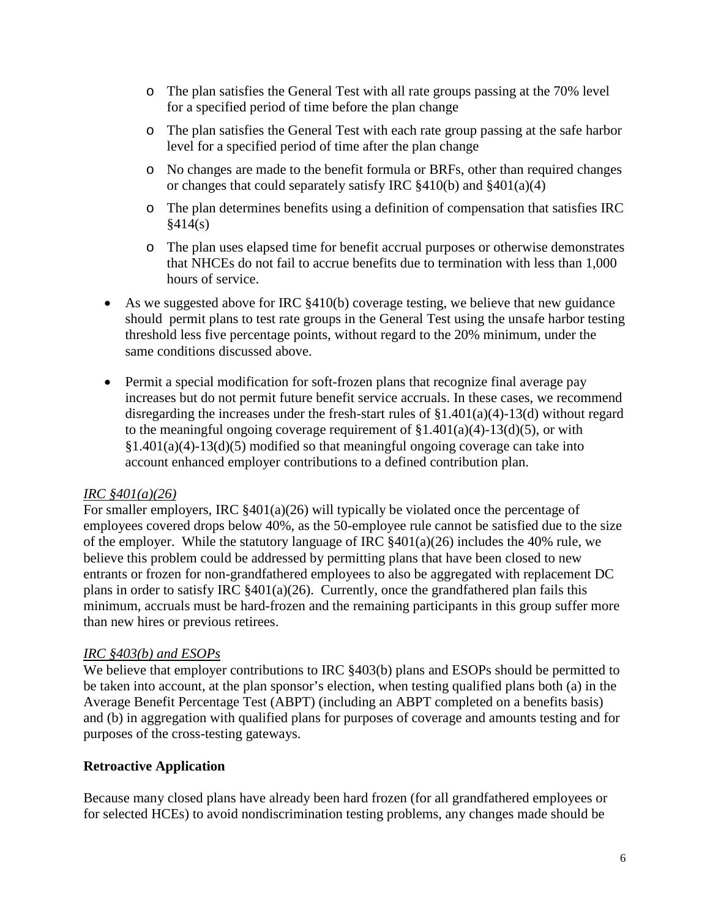- o The plan satisfies the General Test with all rate groups passing at the 70% level for a specified period of time before the plan change
- o The plan satisfies the General Test with each rate group passing at the safe harbor level for a specified period of time after the plan change
- o No changes are made to the benefit formula or BRFs, other than required changes or changes that could separately satisfy IRC §410(b) and §401(a)(4)
- o The plan determines benefits using a definition of compensation that satisfies IRC  $§414(s)$
- o The plan uses elapsed time for benefit accrual purposes or otherwise demonstrates that NHCEs do not fail to accrue benefits due to termination with less than 1,000 hours of service.
- As we suggested above for IRC §410(b) coverage testing, we believe that new guidance should permit plans to test rate groups in the General Test using the unsafe harbor testing threshold less five percentage points, without regard to the 20% minimum, under the same conditions discussed above.
- Permit a special modification for soft-frozen plans that recognize final average pay increases but do not permit future benefit service accruals. In these cases, we recommend disregarding the increases under the fresh-start rules of §1.401(a)(4)-13(d) without regard to the meaningful ongoing coverage requirement of  $\S1.401(a)(4)$ -13(d)(5), or with  $§1.401(a)(4)-13(d)(5)$  modified so that meaningful ongoing coverage can take into account enhanced employer contributions to a defined contribution plan.

## *IRC §401(a)(26)*

For smaller employers, IRC §401(a)(26) will typically be violated once the percentage of employees covered drops below 40%, as the 50-employee rule cannot be satisfied due to the size of the employer. While the statutory language of IRC  $\frac{8401(a)(26)}{26}$  includes the 40% rule, we believe this problem could be addressed by permitting plans that have been closed to new entrants or frozen for non-grandfathered employees to also be aggregated with replacement DC plans in order to satisfy IRC §401(a)(26). Currently, once the grandfathered plan fails this minimum, accruals must be hard-frozen and the remaining participants in this group suffer more than new hires or previous retirees.

## *IRC §403(b) and ESOPs*

We believe that employer contributions to IRC  $§403(b)$  plans and ESOPs should be permitted to be taken into account, at the plan sponsor's election, when testing qualified plans both (a) in the Average Benefit Percentage Test (ABPT) (including an ABPT completed on a benefits basis) and (b) in aggregation with qualified plans for purposes of coverage and amounts testing and for purposes of the cross-testing gateways.

## **Retroactive Application**

Because many closed plans have already been hard frozen (for all grandfathered employees or for selected HCEs) to avoid nondiscrimination testing problems, any changes made should be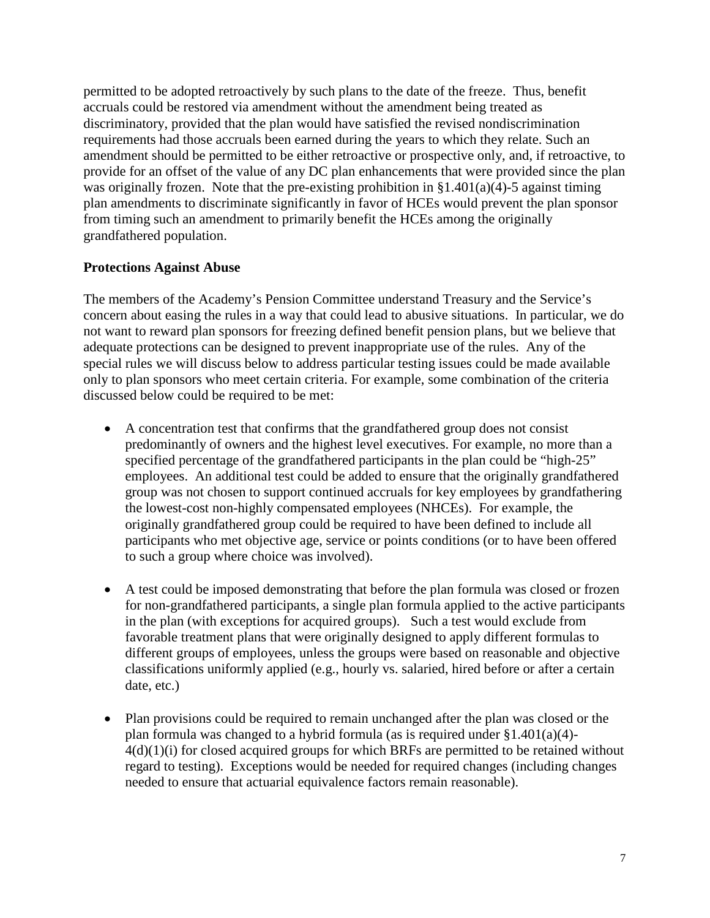permitted to be adopted retroactively by such plans to the date of the freeze. Thus, benefit accruals could be restored via amendment without the amendment being treated as discriminatory, provided that the plan would have satisfied the revised nondiscrimination requirements had those accruals been earned during the years to which they relate. Such an amendment should be permitted to be either retroactive or prospective only, and, if retroactive, to provide for an offset of the value of any DC plan enhancements that were provided since the plan was originally frozen. Note that the pre-existing prohibition in  $\S1.401(a)(4)$ -5 against timing plan amendments to discriminate significantly in favor of HCEs would prevent the plan sponsor from timing such an amendment to primarily benefit the HCEs among the originally grandfathered population.

## **Protections Against Abuse**

The members of the Academy's Pension Committee understand Treasury and the Service's concern about easing the rules in a way that could lead to abusive situations. In particular, we do not want to reward plan sponsors for freezing defined benefit pension plans, but we believe that adequate protections can be designed to prevent inappropriate use of the rules. Any of the special rules we will discuss below to address particular testing issues could be made available only to plan sponsors who meet certain criteria. For example, some combination of the criteria discussed below could be required to be met:

- A concentration test that confirms that the grandfathered group does not consist predominantly of owners and the highest level executives. For example, no more than a specified percentage of the grandfathered participants in the plan could be "high-25" employees. An additional test could be added to ensure that the originally grandfathered group was not chosen to support continued accruals for key employees by grandfathering the lowest-cost non-highly compensated employees (NHCEs). For example, the originally grandfathered group could be required to have been defined to include all participants who met objective age, service or points conditions (or to have been offered to such a group where choice was involved).
- A test could be imposed demonstrating that before the plan formula was closed or frozen for non-grandfathered participants, a single plan formula applied to the active participants in the plan (with exceptions for acquired groups). Such a test would exclude from favorable treatment plans that were originally designed to apply different formulas to different groups of employees, unless the groups were based on reasonable and objective classifications uniformly applied (e.g., hourly vs. salaried, hired before or after a certain date, etc.)
- Plan provisions could be required to remain unchanged after the plan was closed or the plan formula was changed to a hybrid formula (as is required under  $\S1.401(a)(4)$ -4(d)(1)(i) for closed acquired groups for which BRFs are permitted to be retained without regard to testing). Exceptions would be needed for required changes (including changes needed to ensure that actuarial equivalence factors remain reasonable).